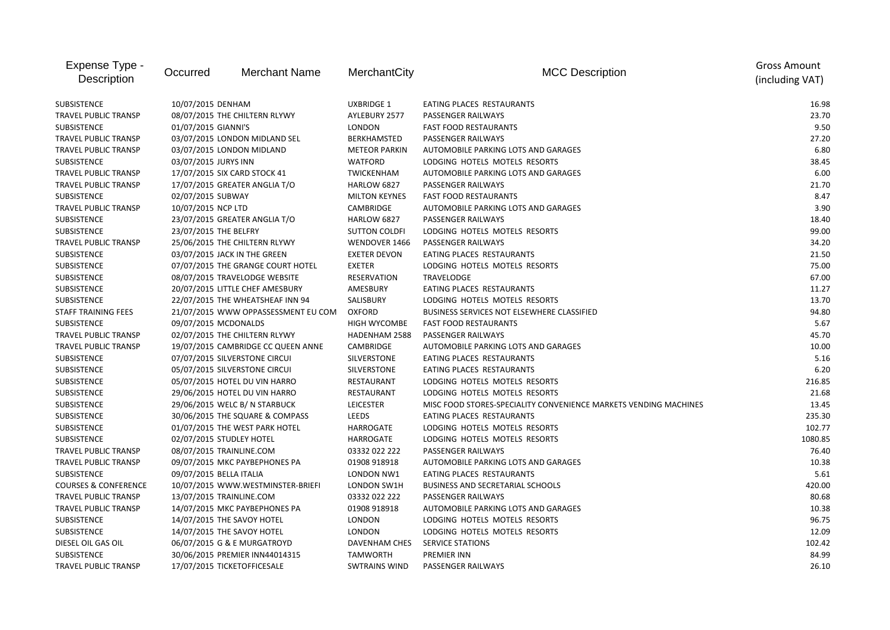| Expense Type -<br>Description   | Occurred                 | <b>Merchant Name</b>                | MerchantCity         | <b>MCC Description</b>                                           | <b>Gross Amount</b><br>(including VAT) |
|---------------------------------|--------------------------|-------------------------------------|----------------------|------------------------------------------------------------------|----------------------------------------|
| <b>SUBSISTENCE</b>              | 10/07/2015 DENHAM        |                                     | <b>UXBRIDGE 1</b>    | EATING PLACES RESTAURANTS                                        | 16.98                                  |
| <b>TRAVEL PUBLIC TRANSP</b>     |                          | 08/07/2015 THE CHILTERN RLYWY       | AYLEBURY 2577        | PASSENGER RAILWAYS                                               | 23.70                                  |
| SUBSISTENCE                     | 01/07/2015 GIANNI'S      |                                     | <b>LONDON</b>        | <b>FAST FOOD RESTAURANTS</b>                                     | 9.5C                                   |
| <b>TRAVEL PUBLIC TRANSP</b>     |                          | 03/07/2015 LONDON MIDLAND SEL       | <b>BERKHAMSTED</b>   | <b>PASSENGER RAILWAYS</b>                                        | 27.20                                  |
| <b>TRAVEL PUBLIC TRANSP</b>     |                          | 03/07/2015 LONDON MIDLAND           | <b>METEOR PARKIN</b> | AUTOMOBILE PARKING LOTS AND GARAGES                              | <b>6.80</b>                            |
| SUBSISTENCE                     | 03/07/2015 JURYS INN     |                                     | <b>WATFORD</b>       | LODGING HOTELS MOTELS RESORTS                                    | 38.45                                  |
| TRAVEL PUBLIC TRANSP            |                          | 17/07/2015 SIX CARD STOCK 41        | TWICKENHAM           | AUTOMOBILE PARKING LOTS AND GARAGES                              | 6.0C                                   |
| <b>TRAVEL PUBLIC TRANSP</b>     |                          | 17/07/2015 GREATER ANGLIA T/O       | HARLOW 6827          | PASSENGER RAILWAYS                                               | 21.70                                  |
| SUBSISTENCE                     | 02/07/2015 SUBWAY        |                                     | <b>MILTON KEYNES</b> | <b>FAST FOOD RESTAURANTS</b>                                     | 8.47                                   |
| TRAVEL PUBLIC TRANSP            | 10/07/2015 NCP LTD       |                                     | <b>CAMBRIDGE</b>     | AUTOMOBILE PARKING LOTS AND GARAGES                              | 3.9C                                   |
| <b>SUBSISTENCE</b>              |                          | 23/07/2015 GREATER ANGLIA T/O       | HARLOW 6827          | PASSENGER RAILWAYS                                               | 18.40                                  |
| <b>SUBSISTENCE</b>              | 23/07/2015 THE BELFRY    |                                     | <b>SUTTON COLDFI</b> | LODGING HOTELS MOTELS RESORTS                                    | 99.00                                  |
| <b>TRAVEL PUBLIC TRANSP</b>     |                          | 25/06/2015 THE CHILTERN RLYWY       | WENDOVER 1466        | PASSENGER RAILWAYS                                               | 34.20                                  |
| SUBSISTENCE                     |                          | 03/07/2015 JACK IN THE GREEN        | <b>EXETER DEVON</b>  | EATING PLACES RESTAURANTS                                        | 21.50                                  |
| SUBSISTENCE                     |                          | 07/07/2015 THE GRANGE COURT HOTEL   | <b>EXETER</b>        | LODGING HOTELS MOTELS RESORTS                                    | 75.00                                  |
| SUBSISTENCE                     |                          | 08/07/2015 TRAVELODGE WEBSITE       | <b>RESERVATION</b>   | TRAVELODGE                                                       | 67.00                                  |
| SUBSISTENCE                     |                          | 20/07/2015 LITTLE CHEF AMESBURY     | AMESBURY             | EATING PLACES RESTAURANTS                                        | 11.27                                  |
| <b>SUBSISTENCE</b>              |                          | 22/07/2015 THE WHEATSHEAF INN 94    | SALISBURY            | LODGING HOTELS MOTELS RESORTS                                    | 13.70                                  |
| <b>STAFF TRAINING FEES</b>      |                          | 21/07/2015 WWW OPPASSESSMENT EU COM | <b>OXFORD</b>        | BUSINESS SERVICES NOT ELSEWHERE CLASSIFIED                       | 94.80                                  |
| <b>SUBSISTENCE</b>              | 09/07/2015 MCDONALDS     |                                     | <b>HIGH WYCOMBE</b>  | <b>FAST FOOD RESTAURANTS</b>                                     | 5.67                                   |
| <b>TRAVEL PUBLIC TRANSP</b>     |                          | 02/07/2015 THE CHILTERN RLYWY       | HADENHAM 2588        | PASSENGER RAILWAYS                                               | 45.70                                  |
| <b>TRAVEL PUBLIC TRANSP</b>     |                          | 19/07/2015 CAMBRIDGE CC QUEEN ANNE  | <b>CAMBRIDGE</b>     | AUTOMOBILE PARKING LOTS AND GARAGES                              | 10.00                                  |
| <b>SUBSISTENCE</b>              |                          | 07/07/2015 SILVERSTONE CIRCUI       | <b>SILVERSTONE</b>   | EATING PLACES RESTAURANTS                                        | 5.16                                   |
| SUBSISTENCE                     |                          | 05/07/2015 SILVERSTONE CIRCUI       | SILVERSTONE          | EATING PLACES RESTAURANTS                                        | 6.2C                                   |
| SUBSISTENCE                     |                          | 05/07/2015 HOTEL DU VIN HARRO       | RESTAURANT           | LODGING HOTELS MOTELS RESORTS                                    | 216.85                                 |
| SUBSISTENCE                     |                          | 29/06/2015 HOTEL DU VIN HARRO       | <b>RESTAURANT</b>    | LODGING HOTELS MOTELS RESORTS                                    | 21.68                                  |
| SUBSISTENCE                     |                          | 29/06/2015 WELC B/ N STARBUCK       | <b>LEICESTER</b>     | MISC FOOD STORES-SPECIALITY CONVENIENCE MARKETS VENDING MACHINES | 13.45                                  |
| SUBSISTENCE                     |                          | 30/06/2015 THE SQUARE & COMPASS     | LEEDS                | EATING PLACES RESTAURANTS                                        | 235.30                                 |
| SUBSISTENCE                     |                          | 01/07/2015 THE WEST PARK HOTEL      | <b>HARROGATE</b>     | LODGING HOTELS MOTELS RESORTS                                    | 102.77                                 |
| SUBSISTENCE                     | 02/07/2015 STUDLEY HOTEL |                                     | <b>HARROGATE</b>     | LODGING HOTELS MOTELS RESORTS                                    | 1080.85                                |
| <b>TRAVEL PUBLIC TRANSP</b>     |                          | 08/07/2015 TRAINLINE.COM            | 03332 022 222        | PASSENGER RAILWAYS                                               | 76.40                                  |
| <b>TRAVEL PUBLIC TRANSP</b>     |                          | 09/07/2015 MKC PAYBEPHONES PA       | 01908 918918         | AUTOMOBILE PARKING LOTS AND GARAGES                              | 10.38                                  |
| SUBSISTENCE                     | 09/07/2015 BELLA ITALIA  |                                     | LONDON NW1           | EATING PLACES RESTAURANTS                                        | 5.61                                   |
| <b>COURSES &amp; CONFERENCE</b> |                          | 10/07/2015 WWW.WESTMINSTER-BRIEFI   | LONDON SW1H          | <b>BUSINESS AND SECRETARIAL SCHOOLS</b>                          | 420.00                                 |
| <b>TRAVEL PUBLIC TRANSP</b>     | 13/07/2015 TRAINLINE.COM |                                     | 03332 022 222        | PASSENGER RAILWAYS                                               | 80.68                                  |
| <b>TRAVEL PUBLIC TRANSP</b>     |                          | 14/07/2015 MKC PAYBEPHONES PA       | 01908 918918         | AUTOMOBILE PARKING LOTS AND GARAGES                              | 10.38                                  |
| SUBSISTENCE                     |                          | 14/07/2015 THE SAVOY HOTEL          | LONDON               | LODGING HOTELS MOTELS RESORTS                                    | 96.75                                  |
| SUBSISTENCE                     |                          | 14/07/2015 THE SAVOY HOTEL          | <b>LONDON</b>        | LODGING HOTELS MOTELS RESORTS                                    | 12.09                                  |
| DIESEL OIL GAS OIL              |                          | 06/07/2015 G & E MURGATROYD         | DAVENHAM CHES        | <b>SERVICE STATIONS</b>                                          | 102.42                                 |
| SUBSISTENCE                     |                          | 30/06/2015 PREMIER INN44014315      | <b>TAMWORTH</b>      | <b>PREMIER INN</b>                                               | 84.99                                  |
| <b>TRAVEL PUBLIC TRANSP</b>     |                          | 17/07/2015 TICKETOFFICESALE         | <b>SWTRAINS WIND</b> | PASSENGER RAILWAYS                                               | 26.10                                  |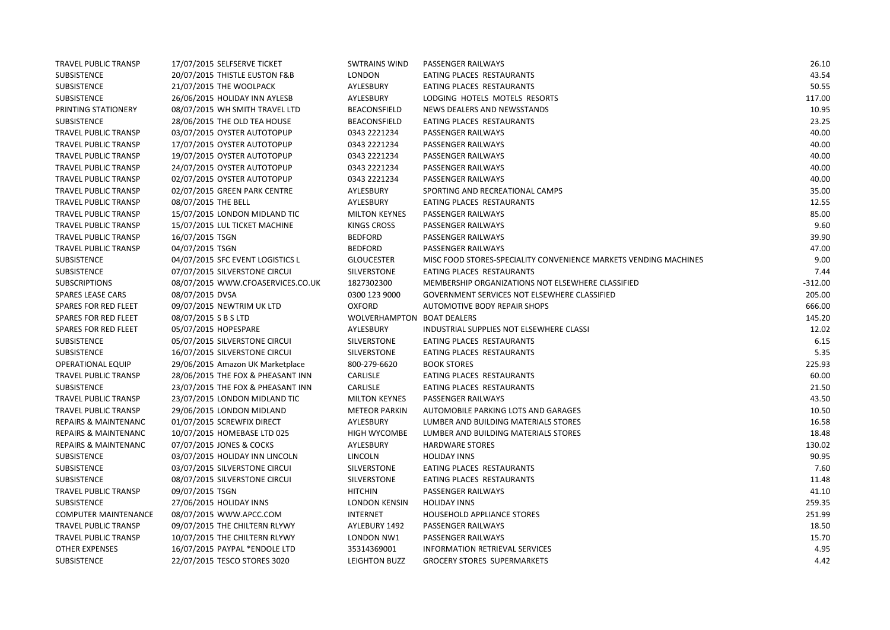| <b>TRAVEL PUBLIC TRANSP</b>     | 17/07/2015 SELFSERVE TICKET       | <b>SWTRAINS WIND</b>       | PASSENGER RAILWAYS                                               | 26.10     |
|---------------------------------|-----------------------------------|----------------------------|------------------------------------------------------------------|-----------|
| <b>SUBSISTENCE</b>              | 20/07/2015 THISTLE EUSTON F&B     | <b>LONDON</b>              | EATING PLACES RESTAURANTS                                        | 43.54     |
| <b>SUBSISTENCE</b>              | 21/07/2015 THE WOOLPACK           | AYLESBURY                  | EATING PLACES RESTAURANTS                                        | 50.55     |
| <b>SUBSISTENCE</b>              | 26/06/2015 HOLIDAY INN AYLESB     | AYLESBURY                  | LODGING HOTELS MOTELS RESORTS                                    | 117.00    |
| PRINTING STATIONERY             | 08/07/2015 WH SMITH TRAVEL LTD    | <b>BEACONSFIELD</b>        | NEWS DEALERS AND NEWSSTANDS                                      | 10.95     |
| <b>SUBSISTENCE</b>              | 28/06/2015 THE OLD TEA HOUSE      | <b>BEACONSFIELD</b>        | EATING PLACES RESTAURANTS                                        | 23.25     |
| TRAVEL PUBLIC TRANSP            | 03/07/2015 OYSTER AUTOTOPUP       | 0343 2221234               | <b>PASSENGER RAILWAYS</b>                                        | 40.00     |
| <b>TRAVEL PUBLIC TRANSP</b>     | 17/07/2015 OYSTER AUTOTOPUP       | 0343 2221234               | PASSENGER RAILWAYS                                               | 40.00     |
| TRAVEL PUBLIC TRANSP            | 19/07/2015 OYSTER AUTOTOPUP       | 0343 2221234               | PASSENGER RAILWAYS                                               | 40.00     |
| TRAVEL PUBLIC TRANSP            | 24/07/2015 OYSTER AUTOTOPUP       | 0343 2221234               | PASSENGER RAILWAYS                                               | 40.00     |
| <b>TRAVEL PUBLIC TRANSP</b>     | 02/07/2015 OYSTER AUTOTOPUP       | 0343 2221234               | PASSENGER RAILWAYS                                               | 40.00     |
| TRAVEL PUBLIC TRANSP            | 02/07/2015 GREEN PARK CENTRE      | AYLESBURY                  | SPORTING AND RECREATIONAL CAMPS                                  | 35.00     |
| TRAVEL PUBLIC TRANSP            | 08/07/2015 THE BELL               | AYLESBURY                  | EATING PLACES RESTAURANTS                                        | 12.55     |
| <b>TRAVEL PUBLIC TRANSP</b>     | 15/07/2015 LONDON MIDLAND TIC     | <b>MILTON KEYNES</b>       | PASSENGER RAILWAYS                                               | 85.00     |
| TRAVEL PUBLIC TRANSP            | 15/07/2015 LUL TICKET MACHINE     | <b>KINGS CROSS</b>         | PASSENGER RAILWAYS                                               | 9.60      |
| <b>TRAVEL PUBLIC TRANSP</b>     | 16/07/2015 TSGN                   | <b>BEDFORD</b>             | PASSENGER RAILWAYS                                               | 39.90     |
| <b>TRAVEL PUBLIC TRANSP</b>     | 04/07/2015 TSGN                   | <b>BEDFORD</b>             | PASSENGER RAILWAYS                                               | 47.00     |
| SUBSISTENCE                     | 04/07/2015 SFC EVENT LOGISTICS L  | <b>GLOUCESTER</b>          | MISC FOOD STORES-SPECIALITY CONVENIENCE MARKETS VENDING MACHINES | 9.00      |
| <b>SUBSISTENCE</b>              | 07/07/2015 SILVERSTONE CIRCUI     | SILVERSTONE                | EATING PLACES RESTAURANTS                                        | 7.44      |
| <b>SUBSCRIPTIONS</b>            | 08/07/2015 WWW.CFOASERVICES.CO.UK | 1827302300                 | MEMBERSHIP ORGANIZATIONS NOT ELSEWHERE CLASSIFIED                | $-312.00$ |
| <b>SPARES LEASE CARS</b>        | 08/07/2015 DVSA                   | 0300 123 9000              | GOVERNMENT SERVICES NOT ELSEWHERE CLASSIFIED                     | 205.00    |
| SPARES FOR RED FLEET            | 09/07/2015 NEWTRIM UK LTD         | <b>OXFORD</b>              | AUTOMOTIVE BODY REPAIR SHOPS                                     | 666.00    |
| <b>SPARES FOR RED FLEET</b>     | 08/07/2015 S B S LTD              | WOLVERHAMPTON BOAT DEALERS |                                                                  | 145.20    |
| <b>SPARES FOR RED FLEET</b>     | 05/07/2015 HOPESPARE              | AYLESBURY                  | INDUSTRIAL SUPPLIES NOT ELSEWHERE CLASSI                         | 12.02     |
| SUBSISTENCE                     | 05/07/2015 SILVERSTONE CIRCUI     | SILVERSTONE                | EATING PLACES RESTAURANTS                                        | 6.15      |
| SUBSISTENCE                     | 16/07/2015 SILVERSTONE CIRCUI     | SILVERSTONE                | EATING PLACES RESTAURANTS                                        | 5.35      |
| <b>OPERATIONAL EQUIP</b>        | 29/06/2015 Amazon UK Marketplace  | 800-279-6620               | <b>BOOK STORES</b>                                               | 225.93    |
| <b>TRAVEL PUBLIC TRANSP</b>     | 28/06/2015 THE FOX & PHEASANT INN | CARLISLE                   | EATING PLACES RESTAURANTS                                        | 60.00     |
| <b>SUBSISTENCE</b>              | 23/07/2015 THE FOX & PHEASANT INN | CARLISLE                   | EATING PLACES RESTAURANTS                                        | 21.50     |
| TRAVEL PUBLIC TRANSP            | 23/07/2015 LONDON MIDLAND TIC     | <b>MILTON KEYNES</b>       | PASSENGER RAILWAYS                                               | 43.50     |
| TRAVEL PUBLIC TRANSP            | 29/06/2015 LONDON MIDLAND         | <b>METEOR PARKIN</b>       | AUTOMOBILE PARKING LOTS AND GARAGES                              | 10.50     |
| REPAIRS & MAINTENANC            | 01/07/2015 SCREWFIX DIRECT        | AYLESBURY                  | LUMBER AND BUILDING MATERIALS STORES                             | 16.58     |
| <b>REPAIRS &amp; MAINTENANC</b> | 10/07/2015 HOMEBASE LTD 025       | <b>HIGH WYCOMBE</b>        | LUMBER AND BUILDING MATERIALS STORES                             | 18.48     |
| <b>REPAIRS &amp; MAINTENANC</b> | 07/07/2015 JONES & COCKS          | AYLESBURY                  | <b>HARDWARE STORES</b>                                           | 130.02    |
| <b>SUBSISTENCE</b>              | 03/07/2015 HOLIDAY INN LINCOLN    | <b>LINCOLN</b>             | <b>HOLIDAY INNS</b>                                              | 90.95     |
| <b>SUBSISTENCE</b>              | 03/07/2015 SILVERSTONE CIRCUI     | SILVERSTONE                | EATING PLACES RESTAURANTS                                        | 7.60      |
| <b>SUBSISTENCE</b>              | 08/07/2015 SILVERSTONE CIRCUI     | SILVERSTONE                | EATING PLACES RESTAURANTS                                        | 11.48     |
| <b>TRAVEL PUBLIC TRANSP</b>     | 09/07/2015 TSGN                   | <b>HITCHIN</b>             | PASSENGER RAILWAYS                                               | 41.10     |
| <b>SUBSISTENCE</b>              | 27/06/2015 HOLIDAY INNS           | <b>LONDON KENSIN</b>       | <b>HOLIDAY INNS</b>                                              | 259.35    |
| <b>COMPUTER MAINTENANCE</b>     | 08/07/2015 WWW.APCC.COM           | <b>INTERNET</b>            | HOUSEHOLD APPLIANCE STORES                                       | 251.99    |
| TRAVEL PUBLIC TRANSP            | 09/07/2015 THE CHILTERN RLYWY     | AYLEBURY 1492              | PASSENGER RAILWAYS                                               | 18.50     |
| TRAVEL PUBLIC TRANSP            | 10/07/2015 THE CHILTERN RLYWY     | LONDON NW1                 | PASSENGER RAILWAYS                                               | 15.70     |
| <b>OTHER EXPENSES</b>           | 16/07/2015 PAYPAL *ENDOLE LTD     | 35314369001                | <b>INFORMATION RETRIEVAL SERVICES</b>                            | 4.95      |
| <b>SUBSISTENCE</b>              | 22/07/2015 TESCO STORES 3020      | <b>LEIGHTON BUZZ</b>       | <b>GROCERY STORES SUPERMARKETS</b>                               | 4.42      |